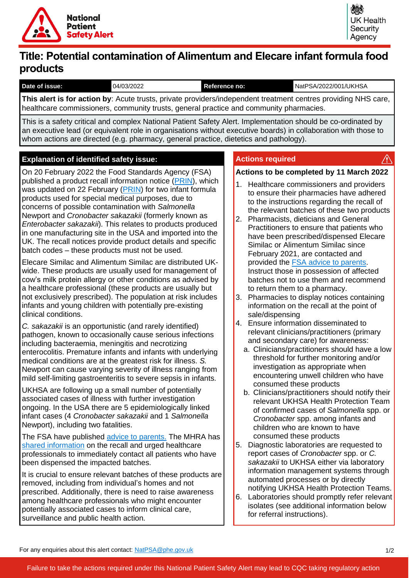

 $\bigwedge$ 

# **Title: Potential contamination of Alimentum and Elecare infant formula food products**

| Date of issue: | 04/03/2022 | Reference no: | NatPSA/2022/001/UKHSA |
|----------------|------------|---------------|-----------------------|

**This alert is for action by**: Acute trusts, private providers/independent treatment centres providing NHS care, healthcare commissioners, community trusts, general practice and community pharmacies.

This is a safety critical and complex National Patient Safety Alert. Implementation should be co-ordinated by an executive lead (or equivalent role in organisations without executive boards) in collaboration with those to whom actions are directed (e.g. pharmacy, general practice, dietetics and pathology).

# **Explanation of identified safety issue: Actions required**

On 20 February 2022 the Food Standards Agency (FSA) published a product recall information notice [\(PRIN\)](https://www.food.gov.uk/news-alerts/alert/fsa-prin-11-2022), which was updated on 22 February [\(PRIN\)](https://www.food.gov.uk/news-alerts/alert/fsa-prin-11-2022-update-1) for two infant formula products used for special medical purposes, due to concerns of possible contamination with *Salmonella*  Newport and *Cronobacter sakazakii* (formerly known as *Enterobacter sakazakii*). This relates to products produced in one manufacturing site in the USA and imported into the UK. The recall notices provide product details and specific batch codes – these products must not be used.

Elecare Similac and Alimentum Similac are distributed UKwide. These products are usually used for management of cow's milk protein allergy or other conditions as advised by a healthcare professional (these products are usually but not exclusively prescribed). The population at risk includes infants and young children with potentially pre-existing clinical conditions.

*C. sakazakii* is an opportunistic (and rarely identified) pathogen, known to occasionally cause serious infections including bacteraemia, meningitis and necrotizing enterocolitis. Premature infants and infants with underlying medical conditions are at the greatest risk for illness. *S.*  Newport can cause varying severity of illness ranging from mild self-limiting gastroenteritis to severe sepsis in infants.

UKHSA are following up a small number of potentially associated cases of illness with further investigation ongoing. In the USA there are 5 epidemiologically linked infant cases (4 *Cronobacter sakazakii* and 1 *Salmonella*  Newport), including two fatalities.

The FSA have published [advice to parents.](https://www.food.gov.uk/news-alerts/news/fsa-issues-advice-after-elecare-similac-and-alimentum-similac-infant-formula-recall) The MHRA has [shared information](https://www.rpharms.com/about-us/news/details/Recall-of-two-infant-formula-powders) on the recall and urged healthcare professionals to immediately contact all patients who have been dispensed the impacted batches.

It is crucial to ensure relevant batches of these products are removed, including from individual's homes and not prescribed. Additionally, there is need to raise awareness among healthcare professionals who might encounter potentially associated cases to inform clinical care, surveillance and public health action.

### **Actions to be completed by 11 March 2022**

- 1. Healthcare commissioners and providers to ensure their pharmacies have adhered to the instructions regarding the recall of the relevant batches of these two products
- 2. Pharmacists, dieticians and General Practitioners to ensure that patients who have been prescribed/dispensed Elecare Similac or Alimentum Similac since February 2021, are contacted and provided the [FSA advice to parents.](https://www.food.gov.uk/news-alerts/news/fsa-issues-advice-after-elecare-similac-and-alimentum-similac-infant-formula-recall) Instruct those in possession of affected batches not to use them and recommend to return them to a pharmacy.
- 3. Pharmacies to display notices containing information on the recall at the point of sale/dispensing
- 4. Ensure information disseminated to relevant clinicians/practitioners (primary and secondary care) for awareness:
	- a. Clinicians/practitioners should have a low threshold for further monitoring and/or investigation as appropriate when encountering unwell children who have consumed these products
	- b. Clinicians/practitioners should notify their relevant UKHSA Health Protection Team of confirmed cases of *Salmonella* spp. or *Cronobacter* spp. among infants and children who are known to have consumed these products
- 5. Diagnostic laboratories are requested to report cases of *Cronobacter* spp. or *C. sakazakii* to UKHSA either via laboratory information management systems through automated processes or by directly notifying UKHSA Health Protection Teams.
- 6. Laboratories should promptly refer relevant isolates (see additional information below for referral instructions).

For any enquiries about this alert contact: [NatPSA@phe.gov.uk](mailto:NatPSA@phe.gov.uk)